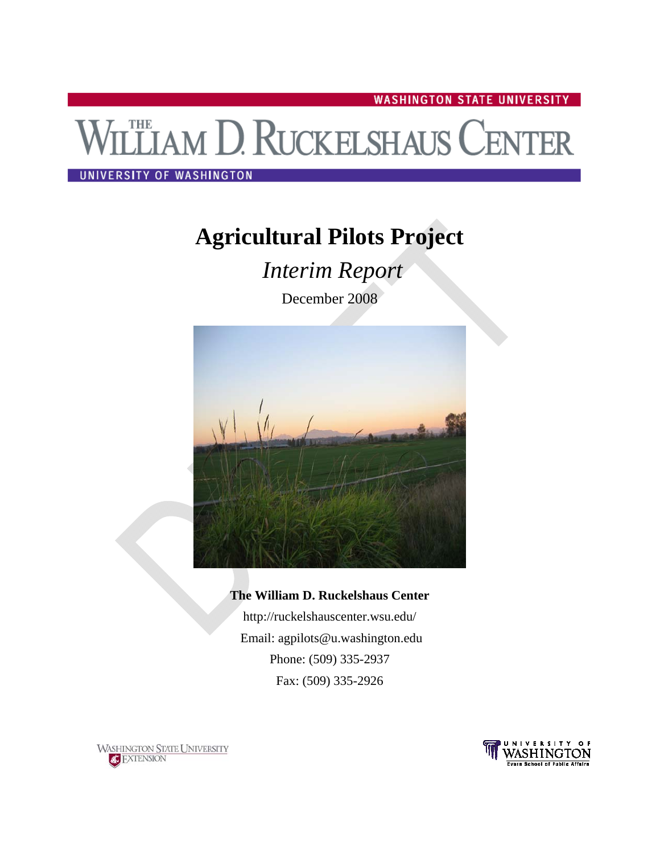**WASHINGTON STATE UNIVERSITY** 

# **THE AM D. RUCKELSHAUS CENTER**

#### UNIVERSITY OF WASHINGTON

# **Agricultural Pilots Project**

 *Interim Report* 

December 2008



### **The William D. Ruckelshaus Center**  http://ruckelshauscenter.wsu.edu/

 Email: agpilots@u.washington.edu Phone: (509) 335-2937 Fax: (509) 335-2926



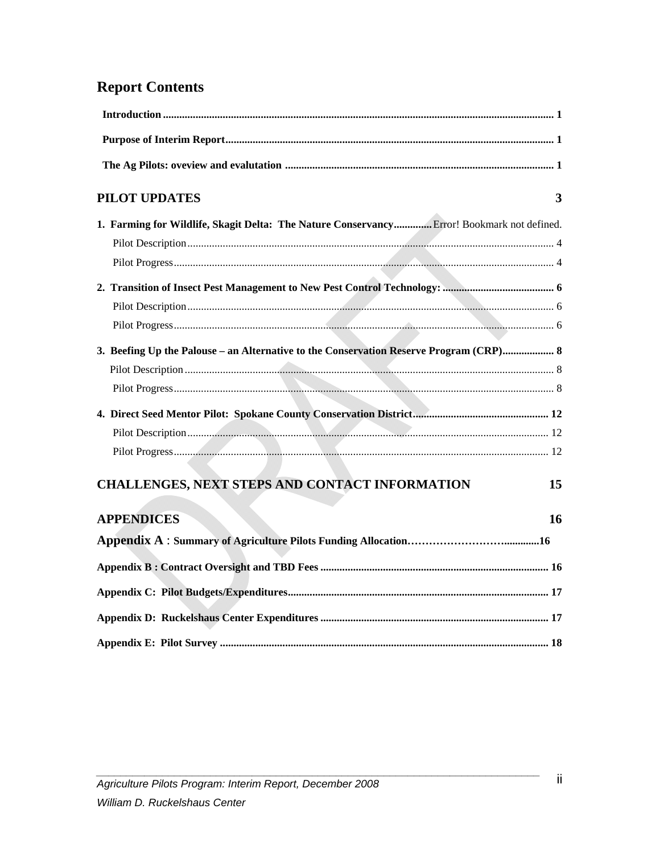## **Report Contents**

| <b>PILOT UPDATES</b>                                                                       | 3  |
|--------------------------------------------------------------------------------------------|----|
| 1. Farming for Wildlife, Skagit Delta: The Nature Conservancy Error! Bookmark not defined. |    |
|                                                                                            |    |
|                                                                                            |    |
|                                                                                            |    |
|                                                                                            |    |
|                                                                                            |    |
| 3. Beefing Up the Palouse – an Alternative to the Conservation Reserve Program (CRP) 8     |    |
|                                                                                            |    |
|                                                                                            |    |
|                                                                                            |    |
|                                                                                            |    |
|                                                                                            |    |
| CHALLENGES, NEXT STEPS AND CONTACT INFORMATION                                             | 15 |
| <b>APPENDICES</b>                                                                          | 16 |
|                                                                                            |    |
|                                                                                            |    |
|                                                                                            |    |
|                                                                                            |    |
|                                                                                            |    |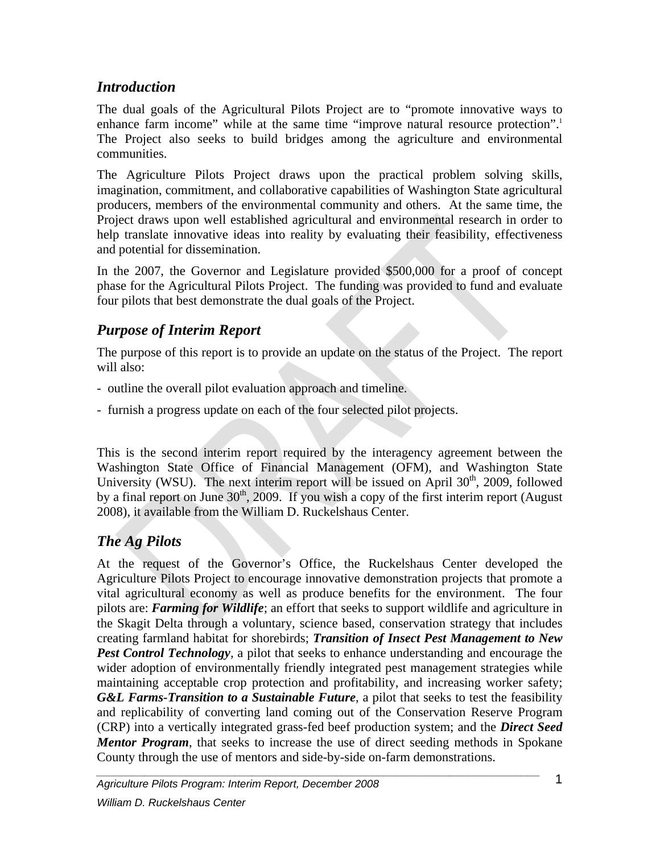## *Introduction*

The dual goals of the Agricultural Pilots Project are to "promote innovative ways to enhance farm income" while at the same time "improve natural resource protection".<sup>1</sup> The Project also seeks to build bridges among the agriculture and environmental communities.

The Agriculture Pilots Project draws upon the practical problem solving skills, imagination, commitment, and collaborative capabilities of Washington State agricultural producers, members of the environmental community and others. At the same time, the Project draws upon well established agricultural and environmental research in order to help translate innovative ideas into reality by evaluating their feasibility, effectiveness and potential for dissemination.

In the 2007, the Governor and Legislature provided \$500,000 for a proof of concept phase for the Agricultural Pilots Project. The funding was provided to fund and evaluate four pilots that best demonstrate the dual goals of the Project.

## *Purpose of Interim Report*

The purpose of this report is to provide an update on the status of the Project. The report will also:

- outline the overall pilot evaluation approach and timeline.
- furnish a progress update on each of the four selected pilot projects.

This is the second interim report required by the interagency agreement between the Washington State Office of Financial Management (OFM), and Washington State University (WSU). The next interim report will be issued on April  $30<sup>th</sup>$ ,  $2009$ , followed by a final report on June  $30<sup>th</sup>$ , 2009. If you wish a copy of the first interim report (August 2008), it available from the William D. Ruckelshaus Center.

## *The Ag Pilots*

At the request of the Governor's Office, the Ruckelshaus Center developed the Agriculture Pilots Project to encourage innovative demonstration projects that promote a vital agricultural economy as well as produce benefits for the environment. The four pilots are: *Farming for Wildlife*; an effort that seeks to support wildlife and agriculture in the Skagit Delta through a voluntary, science based, conservation strategy that includes creating farmland habitat for shorebirds; *Transition of Insect Pest Management to New Pest Control Technology,* a pilot that seeks to enhance understanding and encourage the wider adoption of environmentally friendly integrated pest management strategies while maintaining acceptable crop protection and profitability, and increasing worker safety; *G&L Farms-Transition to a Sustainable Future*, a pilot that seeks to test the feasibility and replicability of converting land coming out of the Conservation Reserve Program (CRP) into a vertically integrated grass-fed beef production system; and the *Direct Seed Mentor Program*, that seeks to increase the use of direct seeding methods in Spokane County through the use of mentors and side-by-side on-farm demonstrations.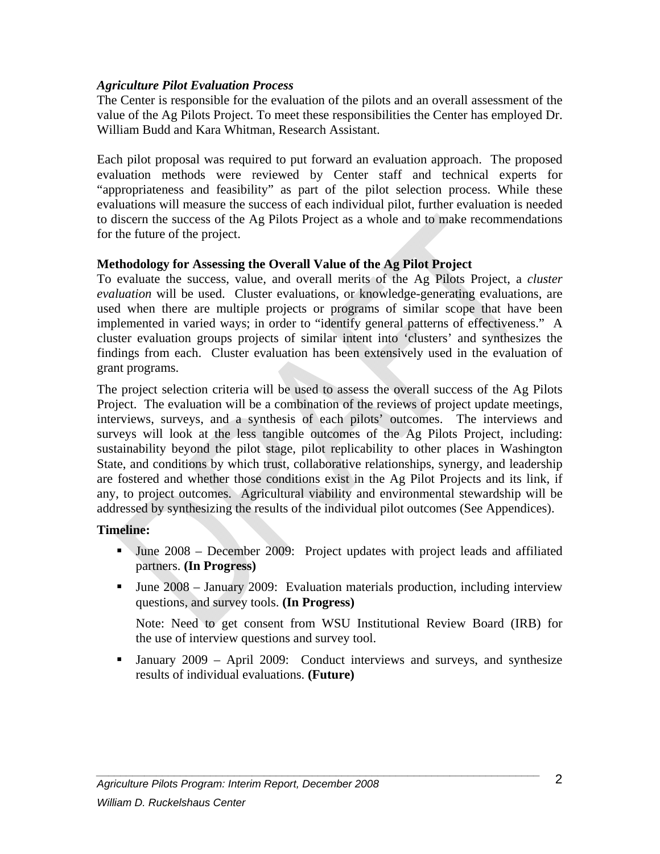#### *Agriculture Pilot Evaluation Process*

The Center is responsible for the evaluation of the pilots and an overall assessment of the value of the Ag Pilots Project. To meet these responsibilities the Center has employed Dr. William Budd and Kara Whitman, Research Assistant.

Each pilot proposal was required to put forward an evaluation approach. The proposed evaluation methods were reviewed by Center staff and technical experts for "appropriateness and feasibility" as part of the pilot selection process. While these evaluations will measure the success of each individual pilot, further evaluation is needed to discern the success of the Ag Pilots Project as a whole and to make recommendations for the future of the project.

#### **Methodology for Assessing the Overall Value of the Ag Pilot Project**

To evaluate the success, value, and overall merits of the Ag Pilots Project, a *cluster evaluation* will be used. Cluster evaluations, or knowledge-generating evaluations, are used when there are multiple projects or programs of similar scope that have been implemented in varied ways; in order to "identify general patterns of effectiveness." A cluster evaluation groups projects of similar intent into 'clusters' and synthesizes the findings from each. Cluster evaluation has been extensively used in the evaluation of grant programs.

The project selection criteria will be used to assess the overall success of the Ag Pilots Project. The evaluation will be a combination of the reviews of project update meetings, interviews, surveys, and a synthesis of each pilots' outcomes. The interviews and surveys will look at the less tangible outcomes of the Ag Pilots Project, including: sustainability beyond the pilot stage, pilot replicability to other places in Washington State, and conditions by which trust, collaborative relationships, synergy, and leadership are fostered and whether those conditions exist in the Ag Pilot Projects and its link, if any, to project outcomes. Agricultural viability and environmental stewardship will be addressed by synthesizing the results of the individual pilot outcomes (See Appendices).

#### **Timeline:**

- June 2008 December 2009: Project updates with project leads and affiliated partners. **(In Progress)**
- June 2008 January 2009: Evaluation materials production, including interview questions, and survey tools. **(In Progress)**

 Note: Need to get consent from WSU Institutional Review Board (IRB) for the use of interview questions and survey tool.

 January 2009 – April 2009: Conduct interviews and surveys, and synthesize results of individual evaluations. **(Future)**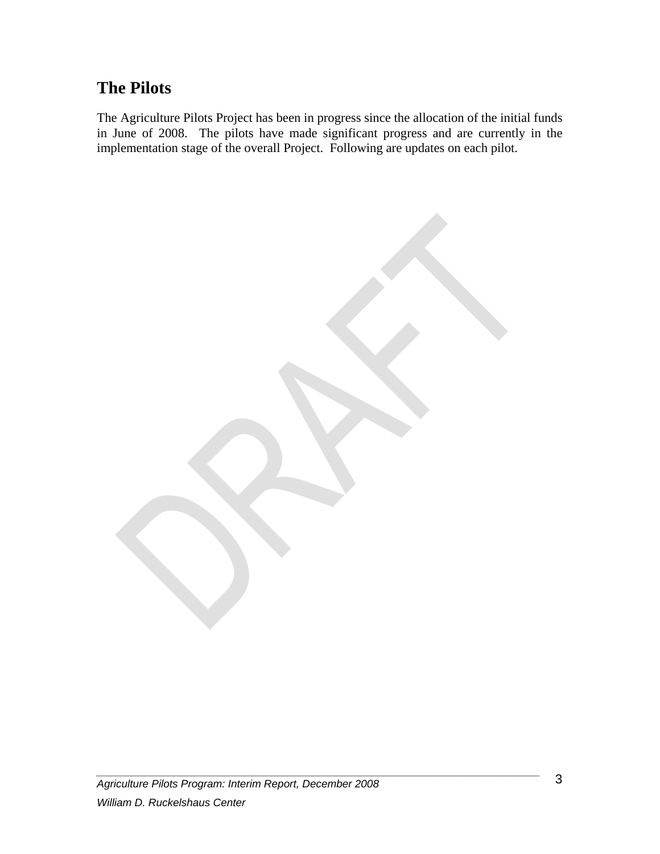## **The Pilots**

The Agriculture Pilots Project has been in progress since the allocation of the initial funds in June of 2008. The pilots have made significant progress and are currently in the implementation stage of the overall Project. Following are updates on each pilot.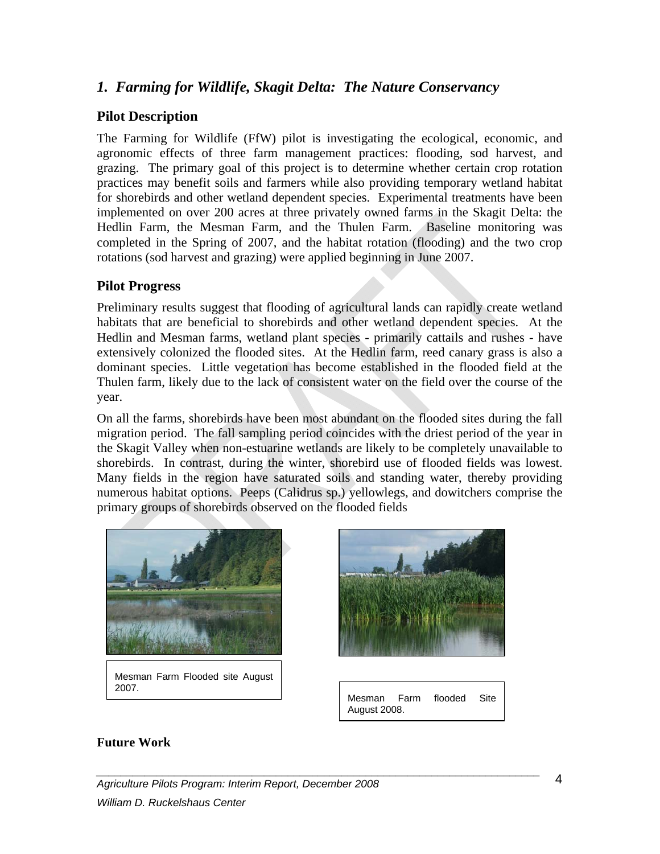#### *1. Farming for Wildlife, Skagit Delta: The Nature Conservancy*

#### **Pilot Description**

The Farming for Wildlife (FfW) pilot is investigating the ecological, economic, and agronomic effects of three farm management practices: flooding, sod harvest, and grazing. The primary goal of this project is to determine whether certain crop rotation practices may benefit soils and farmers while also providing temporary wetland habitat for shorebirds and other wetland dependent species. Experimental treatments have been implemented on over 200 acres at three privately owned farms in the Skagit Delta: the Hedlin Farm, the Mesman Farm, and the Thulen Farm. Baseline monitoring was completed in the Spring of 2007, and the habitat rotation (flooding) and the two crop rotations (sod harvest and grazing) were applied beginning in June 2007.

#### **Pilot Progress**

Preliminary results suggest that flooding of agricultural lands can rapidly create wetland habitats that are beneficial to shorebirds and other wetland dependent species. At the Hedlin and Mesman farms, wetland plant species - primarily cattails and rushes - have extensively colonized the flooded sites. At the Hedlin farm, reed canary grass is also a dominant species. Little vegetation has become established in the flooded field at the Thulen farm, likely due to the lack of consistent water on the field over the course of the year.

On all the farms, shorebirds have been most abundant on the flooded sites during the fall migration period. The fall sampling period coincides with the driest period of the year in the Skagit Valley when non-estuarine wetlands are likely to be completely unavailable to shorebirds. In contrast, during the winter, shorebird use of flooded fields was lowest. Many fields in the region have saturated soils and standing water, thereby providing numerous habitat options. Peeps (Calidrus sp.) yellowlegs, and dowitchers comprise the primary groups of shorebirds observed on the flooded fields



Mesman Farm Flooded site August 2007.



Mesman Farm flooded Site August 2008.

#### **Future Work**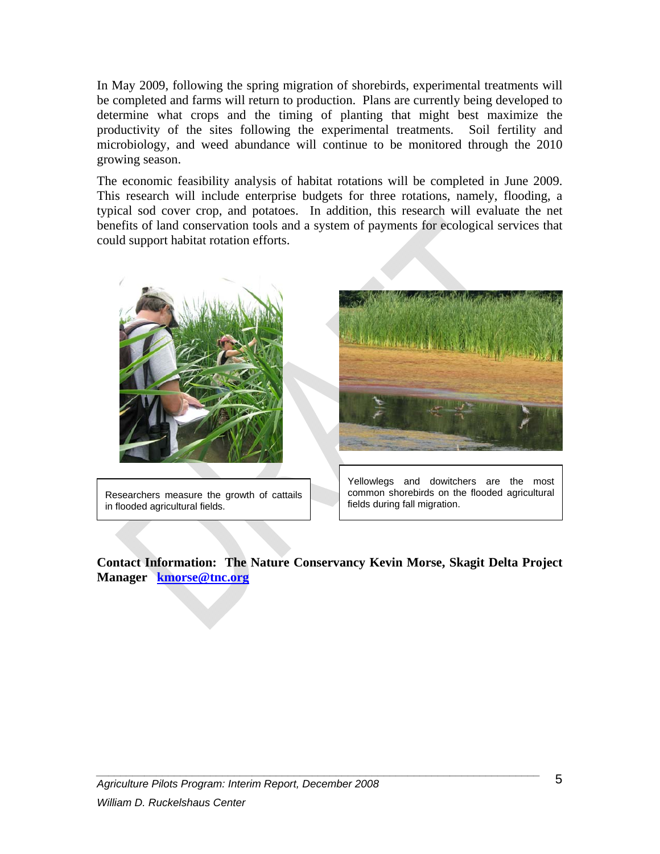In May 2009, following the spring migration of shorebirds, experimental treatments will be completed and farms will return to production. Plans are currently being developed to determine what crops and the timing of planting that might best maximize the productivity of the sites following the experimental treatments. Soil fertility and microbiology, and weed abundance will continue to be monitored through the 2010 growing season.

The economic feasibility analysis of habitat rotations will be completed in June 2009. This research will include enterprise budgets for three rotations, namely, flooding, a typical sod cover crop, and potatoes. In addition, this research will evaluate the net benefits of land conservation tools and a system of payments for ecological services that could support habitat rotation efforts.



Researchers measure the growth of cattails in flooded agricultural fields.



Yellowlegs and dowitchers are the most common shorebirds on the flooded agricultural fields during fall migration.

**Contact Information: The Nature Conservancy Kevin Morse, Skagit Delta Project Manager kmorse@tnc.org**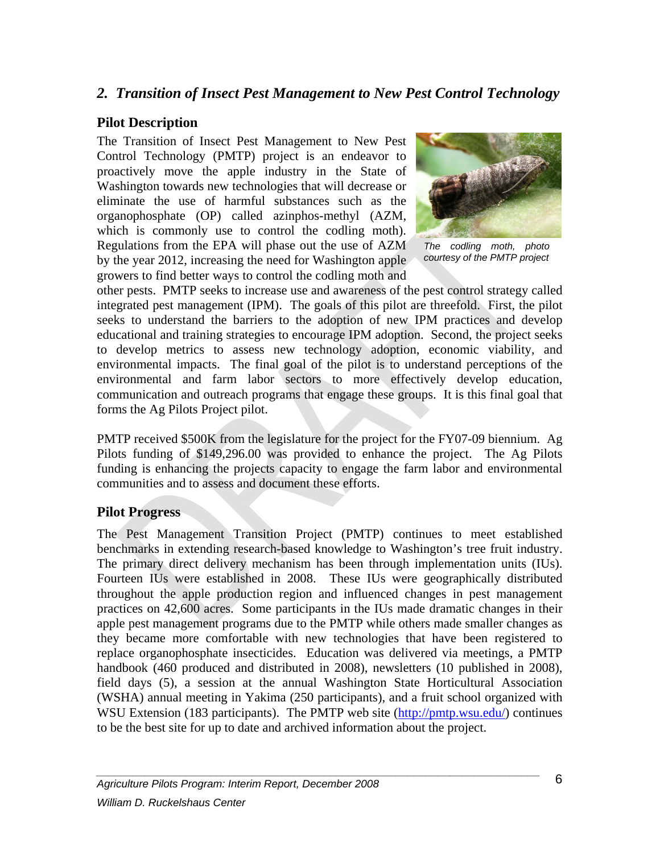## *2. Transition of Insect Pest Management to New Pest Control Technology*

#### **Pilot Description**

The Transition of Insect Pest Management to New Pest Control Technology (PMTP) project is an endeavor to proactively move the apple industry in the State of Washington towards new technologies that will decrease or eliminate the use of harmful substances such as the organophosphate (OP) called azinphos-methyl (AZM, which is commonly use to control the codling moth). Regulations from the EPA will phase out the use of AZM by the year 2012, increasing the need for Washington apple growers to find better ways to control the codling moth and



*The codling moth, photo courtesy of the PMTP project* 

other pests. PMTP seeks to increase use and awareness of the pest control strategy called integrated pest management (IPM). The goals of this pilot are threefold. First, the pilot seeks to understand the barriers to the adoption of new IPM practices and develop educational and training strategies to encourage IPM adoption. Second, the project seeks to develop metrics to assess new technology adoption, economic viability, and environmental impacts. The final goal of the pilot is to understand perceptions of the environmental and farm labor sectors to more effectively develop education, communication and outreach programs that engage these groups. It is this final goal that forms the Ag Pilots Project pilot.

PMTP received \$500K from the legislature for the project for the FY07-09 biennium. Ag Pilots funding of \$149,296.00 was provided to enhance the project. The Ag Pilots funding is enhancing the projects capacity to engage the farm labor and environmental communities and to assess and document these efforts.

#### **Pilot Progress**

The Pest Management Transition Project (PMTP) continues to meet established benchmarks in extending research-based knowledge to Washington's tree fruit industry. The primary direct delivery mechanism has been through implementation units (IUs). Fourteen IUs were established in 2008. These IUs were geographically distributed throughout the apple production region and influenced changes in pest management practices on 42,600 acres. Some participants in the IUs made dramatic changes in their apple pest management programs due to the PMTP while others made smaller changes as they became more comfortable with new technologies that have been registered to replace organophosphate insecticides. Education was delivered via meetings, a PMTP handbook (460 produced and distributed in 2008), newsletters (10 published in 2008), field days (5), a session at the annual Washington State Horticultural Association (WSHA) annual meeting in Yakima (250 participants), and a fruit school organized with WSU Extension (183 participants). The PMTP web site (http://pmtp.wsu.edu/) continues to be the best site for up to date and archived information about the project.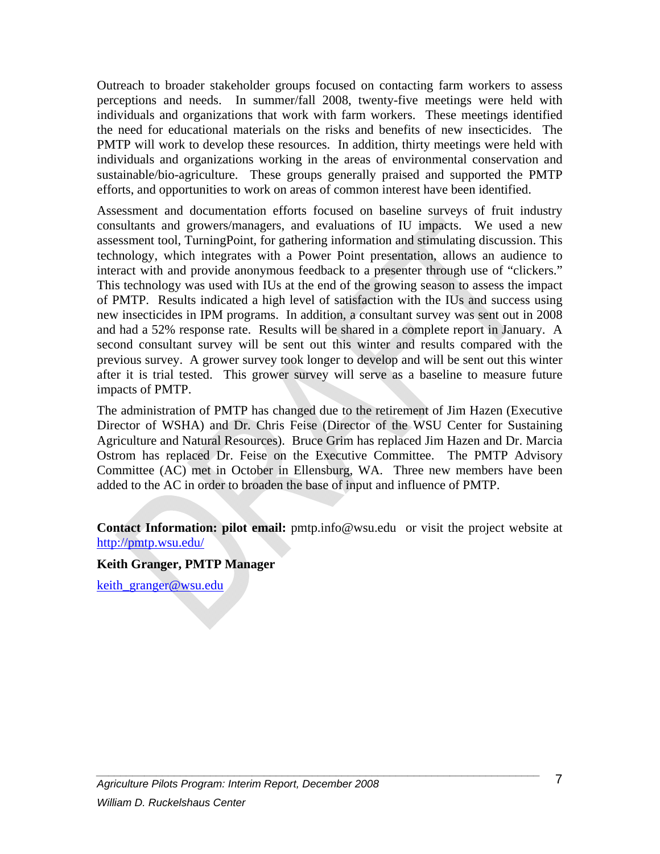Outreach to broader stakeholder groups focused on contacting farm workers to assess perceptions and needs. In summer/fall 2008, twenty-five meetings were held with individuals and organizations that work with farm workers. These meetings identified the need for educational materials on the risks and benefits of new insecticides. The PMTP will work to develop these resources. In addition, thirty meetings were held with individuals and organizations working in the areas of environmental conservation and sustainable/bio-agriculture. These groups generally praised and supported the PMTP efforts, and opportunities to work on areas of common interest have been identified.

Assessment and documentation efforts focused on baseline surveys of fruit industry consultants and growers/managers, and evaluations of IU impacts. We used a new assessment tool, TurningPoint, for gathering information and stimulating discussion. This technology, which integrates with a Power Point presentation, allows an audience to interact with and provide anonymous feedback to a presenter through use of "clickers." This technology was used with IUs at the end of the growing season to assess the impact of PMTP. Results indicated a high level of satisfaction with the IUs and success using new insecticides in IPM programs. In addition, a consultant survey was sent out in 2008 and had a 52% response rate. Results will be shared in a complete report in January. A second consultant survey will be sent out this winter and results compared with the previous survey. A grower survey took longer to develop and will be sent out this winter after it is trial tested. This grower survey will serve as a baseline to measure future impacts of PMTP.

The administration of PMTP has changed due to the retirement of Jim Hazen (Executive Director of WSHA) and Dr. Chris Feise (Director of the WSU Center for Sustaining Agriculture and Natural Resources). Bruce Grim has replaced Jim Hazen and Dr. Marcia Ostrom has replaced Dr. Feise on the Executive Committee. The PMTP Advisory Committee (AC) met in October in Ellensburg, WA. Three new members have been added to the AC in order to broaden the base of input and influence of PMTP.

**Contact Information: pilot email:** pmtp.info@wsu.edu or visit the project website at http://pmtp.wsu.edu/

*\_\_\_\_\_\_\_\_\_\_\_\_\_\_\_\_\_\_\_\_\_\_\_\_\_\_\_\_\_\_\_\_\_\_\_\_\_\_\_\_\_\_\_\_\_\_\_\_\_\_\_\_\_\_\_\_\_\_\_\_\_\_\_\_\_\_\_\_\_\_\_\_\_\_* 

**Keith Granger, PMTP Manager** 

keith granger@wsu.edu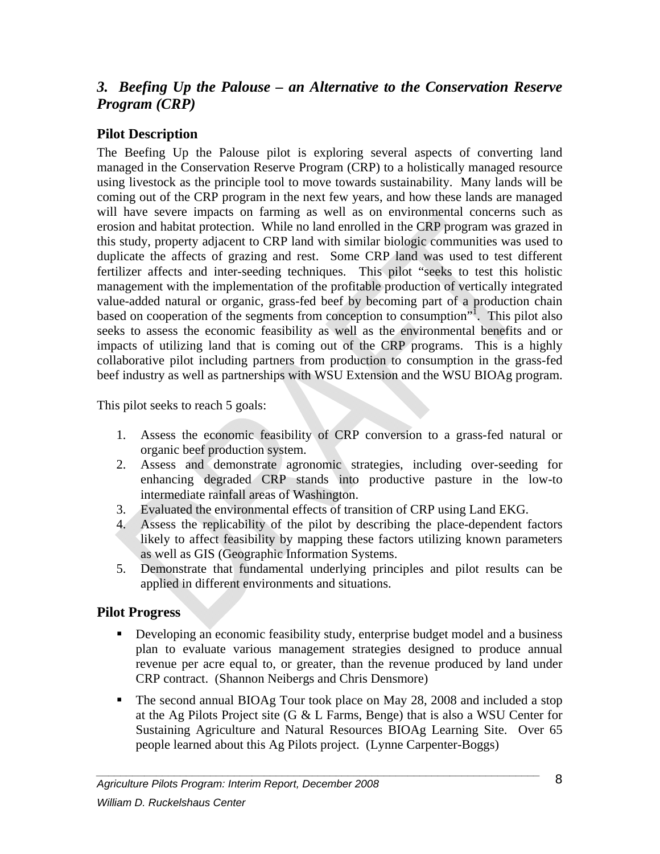## *3. Beefing Up the Palouse – an Alternative to the Conservation Reserve Program (CRP)*

#### **Pilot Description**

The Beefing Up the Palouse pilot is exploring several aspects of converting land managed in the Conservation Reserve Program (CRP) to a holistically managed resource using livestock as the principle tool to move towards sustainability. Many lands will be coming out of the CRP program in the next few years, and how these lands are managed will have severe impacts on farming as well as on environmental concerns such as erosion and habitat protection. While no land enrolled in the CRP program was grazed in this study, property adjacent to CRP land with similar biologic communities was used to duplicate the affects of grazing and rest. Some CRP land was used to test different fertilizer affects and inter-seeding techniques. This pilot "seeks to test this holistic management with the implementation of the profitable production of vertically integrated value-added natural or organic, grass-fed beef by becoming part of a production chain based on cooperation of the segments from conception to consumption". This pilot also seeks to assess the economic feasibility as well as the environmental benefits and or impacts of utilizing land that is coming out of the CRP programs. This is a highly collaborative pilot including partners from production to consumption in the grass-fed beef industry as well as partnerships with WSU Extension and the WSU BIOAg program.

This pilot seeks to reach 5 goals:

- 1. Assess the economic feasibility of CRP conversion to a grass-fed natural or organic beef production system.
- 2. Assess and demonstrate agronomic strategies, including over-seeding for enhancing degraded CRP stands into productive pasture in the low-to intermediate rainfall areas of Washington.
- 3. Evaluated the environmental effects of transition of CRP using Land EKG.
- 4. Assess the replicability of the pilot by describing the place-dependent factors likely to affect feasibility by mapping these factors utilizing known parameters as well as GIS (Geographic Information Systems.
- 5. Demonstrate that fundamental underlying principles and pilot results can be applied in different environments and situations.

#### **Pilot Progress**

- Developing an economic feasibility study, enterprise budget model and a business plan to evaluate various management strategies designed to produce annual revenue per acre equal to, or greater, than the revenue produced by land under CRP contract. (Shannon Neibergs and Chris Densmore)
- The second annual BIOAg Tour took place on May 28, 2008 and included a stop at the Ag Pilots Project site (G & L Farms, Benge) that is also a WSU Center for Sustaining Agriculture and Natural Resources BIOAg Learning Site. Over 65 people learned about this Ag Pilots project. (Lynne Carpenter-Boggs)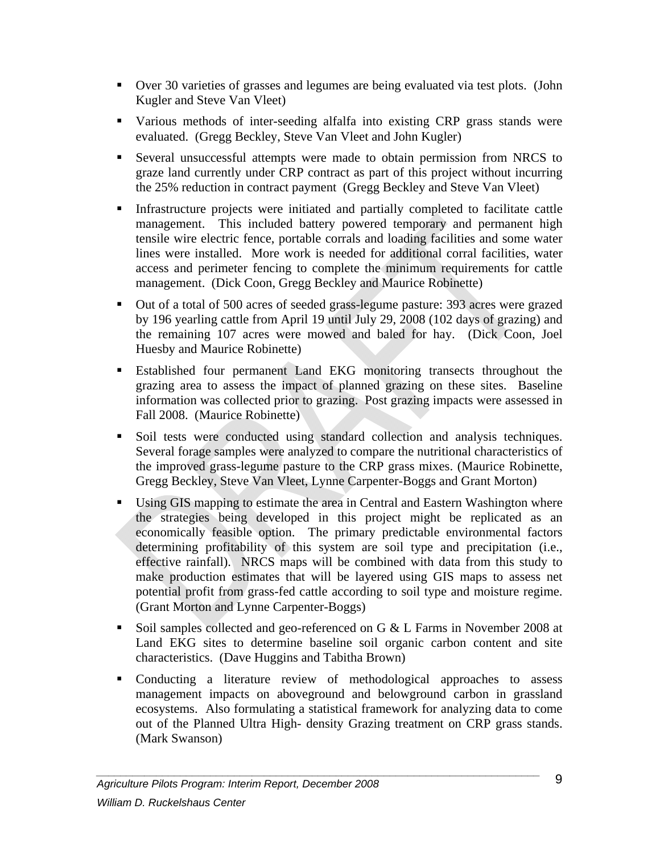- Over 30 varieties of grasses and legumes are being evaluated via test plots. (John Kugler and Steve Van Vleet)
- Various methods of inter-seeding alfalfa into existing CRP grass stands were evaluated. (Gregg Beckley, Steve Van Vleet and John Kugler)
- Several unsuccessful attempts were made to obtain permission from NRCS to graze land currently under CRP contract as part of this project without incurring the 25% reduction in contract payment (Gregg Beckley and Steve Van Vleet)
- Infrastructure projects were initiated and partially completed to facilitate cattle management. This included battery powered temporary and permanent high tensile wire electric fence, portable corrals and loading facilities and some water lines were installed. More work is needed for additional corral facilities, water access and perimeter fencing to complete the minimum requirements for cattle management. (Dick Coon, Gregg Beckley and Maurice Robinette)
- Out of a total of 500 acres of seeded grass-legume pasture: 393 acres were grazed by 196 yearling cattle from April 19 until July 29, 2008 (102 days of grazing) and the remaining 107 acres were mowed and baled for hay. (Dick Coon, Joel Huesby and Maurice Robinette)
- Established four permanent Land EKG monitoring transects throughout the grazing area to assess the impact of planned grazing on these sites. Baseline information was collected prior to grazing. Post grazing impacts were assessed in Fall 2008. (Maurice Robinette)
- Soil tests were conducted using standard collection and analysis techniques. Several forage samples were analyzed to compare the nutritional characteristics of the improved grass-legume pasture to the CRP grass mixes. (Maurice Robinette, Gregg Beckley, Steve Van Vleet, Lynne Carpenter-Boggs and Grant Morton)
- Using GIS mapping to estimate the area in Central and Eastern Washington where the strategies being developed in this project might be replicated as an economically feasible option. The primary predictable environmental factors determining profitability of this system are soil type and precipitation (i.e., effective rainfall). NRCS maps will be combined with data from this study to make production estimates that will be layered using GIS maps to assess net potential profit from grass-fed cattle according to soil type and moisture regime. (Grant Morton and Lynne Carpenter-Boggs)
- Soil samples collected and geo-referenced on G & L Farms in November 2008 at Land EKG sites to determine baseline soil organic carbon content and site characteristics. (Dave Huggins and Tabitha Brown)
- Conducting a literature review of methodological approaches to assess management impacts on aboveground and belowground carbon in grassland ecosystems. Also formulating a statistical framework for analyzing data to come out of the Planned Ultra High- density Grazing treatment on CRP grass stands. (Mark Swanson)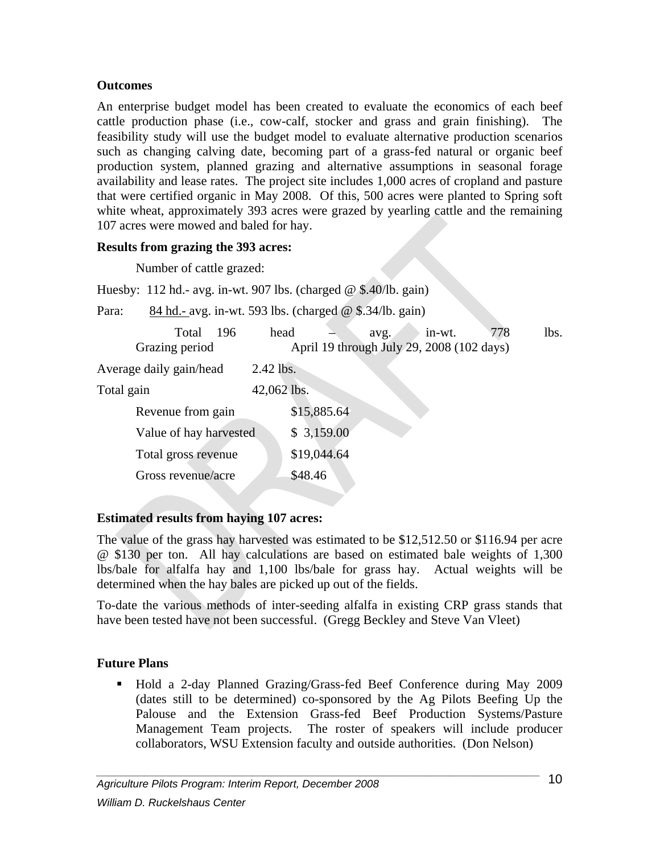#### **Outcomes**

An enterprise budget model has been created to evaluate the economics of each beef cattle production phase (i.e., cow-calf, stocker and grass and grain finishing). The feasibility study will use the budget model to evaluate alternative production scenarios such as changing calving date, becoming part of a grass-fed natural or organic beef production system, planned grazing and alternative assumptions in seasonal forage availability and lease rates. The project site includes 1,000 acres of cropland and pasture that were certified organic in May 2008. Of this, 500 acres were planted to Spring soft white wheat, approximately 393 acres were grazed by yearling cattle and the remaining 107 acres were mowed and baled for hay.

#### **Results from grazing the 393 acres:**

Number of cattle grazed:

Huesby: 112 hd.- avg. in-wt. 907 lbs. (charged @ \$.40/lb. gain)

Para: 84 hd.- avg. in-wt. 593 lbs. (charged @ \$.34/lb. gain)

| Total<br>-196<br>Grazing period | head        | avg.<br>April 19 through July 29, 2008 (102 days) | in-wt. | 778 | lbs. |
|---------------------------------|-------------|---------------------------------------------------|--------|-----|------|
| Average daily gain/head         | 2.42 lbs.   |                                                   |        |     |      |
| Total gain                      | 42,062 lbs. |                                                   |        |     |      |
| Revenue from gain               | \$15,885.64 |                                                   |        |     |      |
| Value of hay harvested          | \$3,159.00  |                                                   |        |     |      |
| Total gross revenue             | \$19,044.64 |                                                   |        |     |      |
| Gross revenue/acre              | \$48.46     |                                                   |        |     |      |
|                                 |             |                                                   |        |     |      |

#### **Estimated results from haying 107 acres:**

The value of the grass hay harvested was estimated to be \$12,512.50 or \$116.94 per acre @ \$130 per ton. All hay calculations are based on estimated bale weights of 1,300 lbs/bale for alfalfa hay and 1,100 lbs/bale for grass hay. Actual weights will be determined when the hay bales are picked up out of the fields.

To-date the various methods of inter-seeding alfalfa in existing CRP grass stands that have been tested have not been successful. (Gregg Beckley and Steve Van Vleet)

#### **Future Plans**

 Hold a 2-day Planned Grazing/Grass-fed Beef Conference during May 2009 (dates still to be determined) co-sponsored by the Ag Pilots Beefing Up the Palouse and the Extension Grass-fed Beef Production Systems/Pasture Management Team projects. The roster of speakers will include producer collaborators, WSU Extension faculty and outside authorities. (Don Nelson)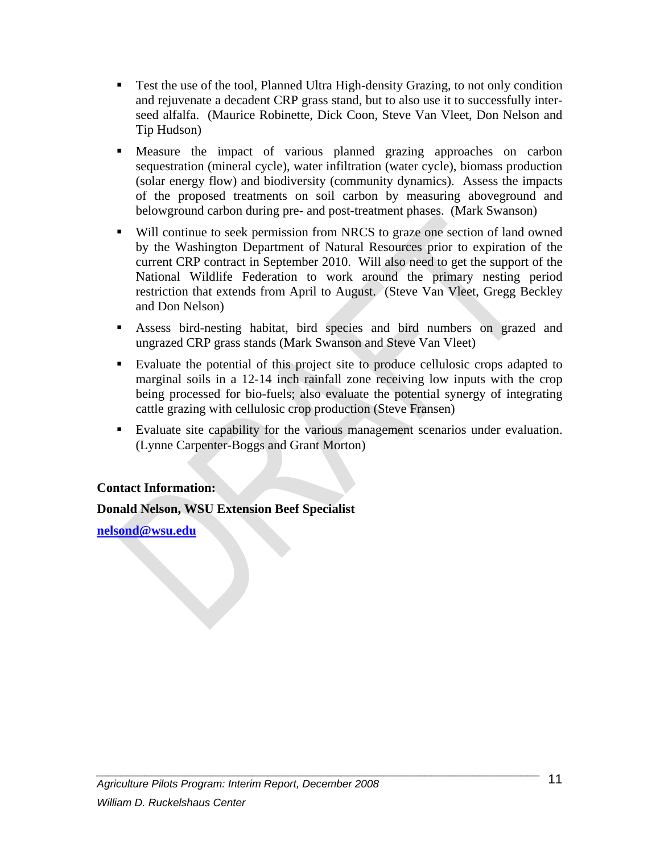- Test the use of the tool, Planned Ultra High-density Grazing, to not only condition and rejuvenate a decadent CRP grass stand, but to also use it to successfully interseed alfalfa. (Maurice Robinette, Dick Coon, Steve Van Vleet, Don Nelson and Tip Hudson)
- Measure the impact of various planned grazing approaches on carbon sequestration (mineral cycle), water infiltration (water cycle), biomass production (solar energy flow) and biodiversity (community dynamics). Assess the impacts of the proposed treatments on soil carbon by measuring aboveground and belowground carbon during pre- and post-treatment phases. (Mark Swanson)
- Will continue to seek permission from NRCS to graze one section of land owned by the Washington Department of Natural Resources prior to expiration of the current CRP contract in September 2010. Will also need to get the support of the National Wildlife Federation to work around the primary nesting period restriction that extends from April to August. (Steve Van Vleet, Gregg Beckley and Don Nelson)
- Assess bird-nesting habitat, bird species and bird numbers on grazed and ungrazed CRP grass stands (Mark Swanson and Steve Van Vleet)
- Evaluate the potential of this project site to produce cellulosic crops adapted to marginal soils in a 12-14 inch rainfall zone receiving low inputs with the crop being processed for bio-fuels; also evaluate the potential synergy of integrating cattle grazing with cellulosic crop production (Steve Fransen)
- Evaluate site capability for the various management scenarios under evaluation. (Lynne Carpenter-Boggs and Grant Morton)

#### **Contact Information:**

#### **Donald Nelson, WSU Extension Beef Specialist**

**nelsond@wsu.edu**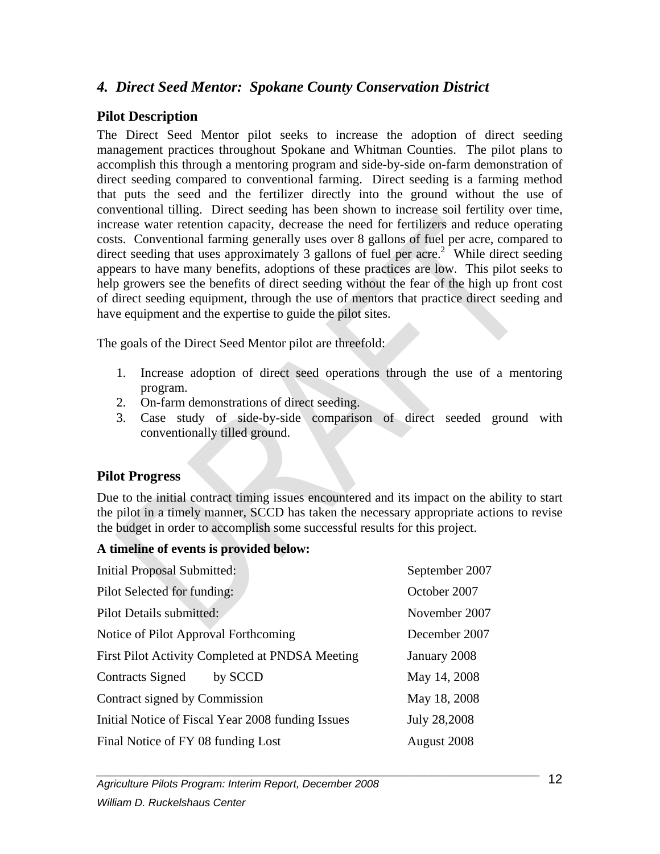## *4. Direct Seed Mentor: Spokane County Conservation District*

#### **Pilot Description**

The Direct Seed Mentor pilot seeks to increase the adoption of direct seeding management practices throughout Spokane and Whitman Counties. The pilot plans to accomplish this through a mentoring program and side-by-side on-farm demonstration of direct seeding compared to conventional farming. Direct seeding is a farming method that puts the seed and the fertilizer directly into the ground without the use of conventional tilling. Direct seeding has been shown to increase soil fertility over time, increase water retention capacity, decrease the need for fertilizers and reduce operating costs. Conventional farming generally uses over 8 gallons of fuel per acre, compared to direct seeding that uses approximately 3 gallons of fuel per acre.<sup>2</sup> While direct seeding appears to have many benefits, adoptions of these practices are low. This pilot seeks to help growers see the benefits of direct seeding without the fear of the high up front cost of direct seeding equipment, through the use of mentors that practice direct seeding and have equipment and the expertise to guide the pilot sites.

The goals of the Direct Seed Mentor pilot are threefold:

- 1. Increase adoption of direct seed operations through the use of a mentoring program.
- 2. On-farm demonstrations of direct seeding.
- 3. Case study of side-by-side comparison of direct seeded ground with conventionally tilled ground.

#### **Pilot Progress**

Due to the initial contract timing issues encountered and its impact on the ability to start the pilot in a timely manner, SCCD has taken the necessary appropriate actions to revise the budget in order to accomplish some successful results for this project.

#### **A timeline of events is provided below:**

| <b>Initial Proposal Submitted:</b>                | September 2007 |
|---------------------------------------------------|----------------|
| Pilot Selected for funding:                       | October 2007   |
| Pilot Details submitted:                          | November 2007  |
| Notice of Pilot Approval Forthcoming              | December 2007  |
| First Pilot Activity Completed at PNDSA Meeting   | January 2008   |
| <b>Contracts Signed</b><br>by SCCD                | May 14, 2008   |
| Contract signed by Commission                     | May 18, 2008   |
| Initial Notice of Fiscal Year 2008 funding Issues | July 28,2008   |
| Final Notice of FY 08 funding Lost                | August 2008    |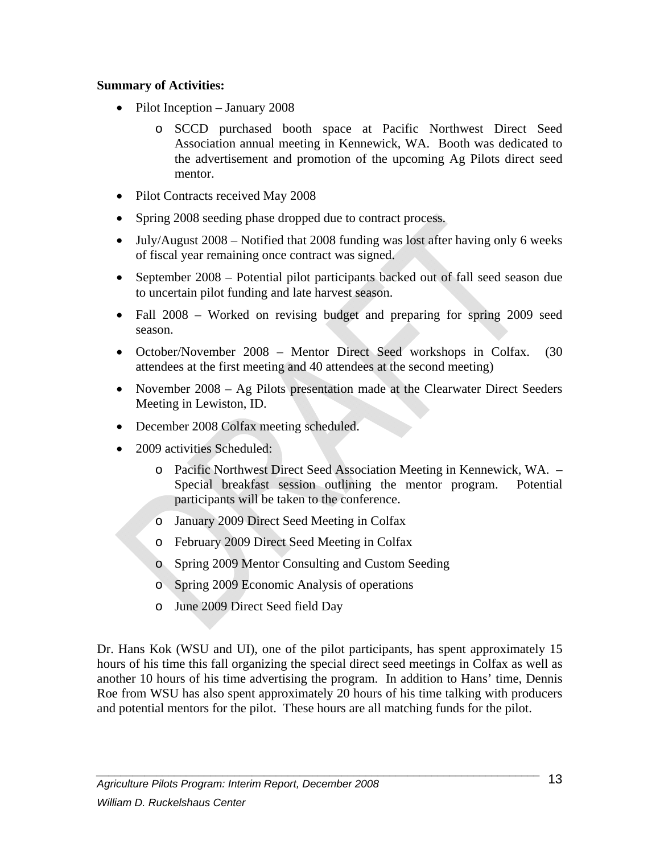#### **Summary of Activities:**

- Pilot Inception January 2008
	- o SCCD purchased booth space at Pacific Northwest Direct Seed Association annual meeting in Kennewick, WA. Booth was dedicated to the advertisement and promotion of the upcoming Ag Pilots direct seed mentor.
- Pilot Contracts received May 2008
- Spring 2008 seeding phase dropped due to contract process.
- July/August 2008 Notified that 2008 funding was lost after having only 6 weeks of fiscal year remaining once contract was signed.
- September 2008 Potential pilot participants backed out of fall seed season due to uncertain pilot funding and late harvest season.
- Fall 2008 Worked on revising budget and preparing for spring 2009 seed season.
- October/November 2008 Mentor Direct Seed workshops in Colfax. (30 attendees at the first meeting and 40 attendees at the second meeting)
- November 2008 Ag Pilots presentation made at the Clearwater Direct Seeders Meeting in Lewiston, ID.
- December 2008 Colfax meeting scheduled.
- 2009 activities Scheduled:
	- o Pacific Northwest Direct Seed Association Meeting in Kennewick, WA. Special breakfast session outlining the mentor program. Potential participants will be taken to the conference.
	- o January 2009 Direct Seed Meeting in Colfax
	- o February 2009 Direct Seed Meeting in Colfax
	- o Spring 2009 Mentor Consulting and Custom Seeding
	- o Spring 2009 Economic Analysis of operations
	- o June 2009 Direct Seed field Day

Dr. Hans Kok (WSU and UI), one of the pilot participants, has spent approximately 15 hours of his time this fall organizing the special direct seed meetings in Colfax as well as another 10 hours of his time advertising the program. In addition to Hans' time, Dennis Roe from WSU has also spent approximately 20 hours of his time talking with producers and potential mentors for the pilot. These hours are all matching funds for the pilot.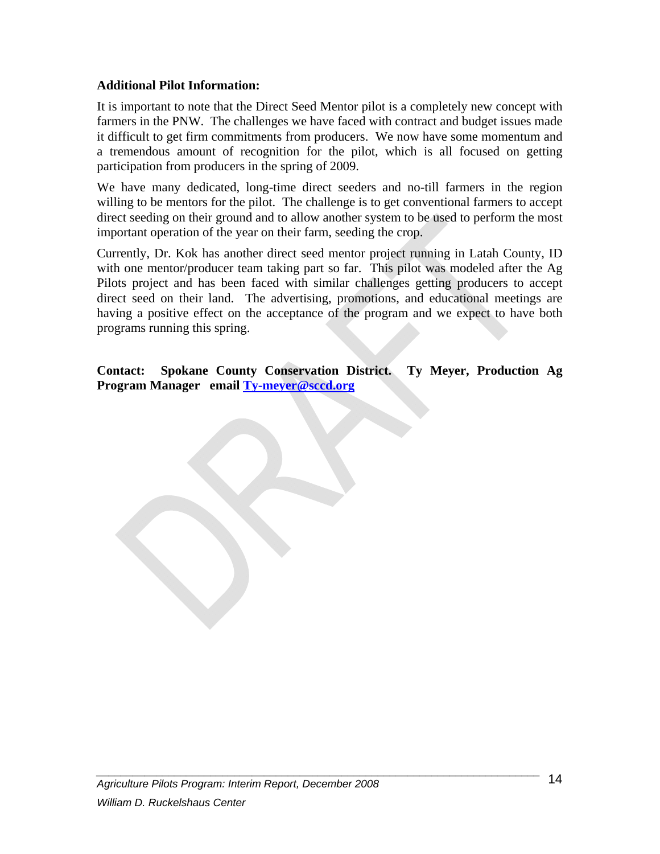#### **Additional Pilot Information:**

It is important to note that the Direct Seed Mentor pilot is a completely new concept with farmers in the PNW. The challenges we have faced with contract and budget issues made it difficult to get firm commitments from producers. We now have some momentum and a tremendous amount of recognition for the pilot, which is all focused on getting participation from producers in the spring of 2009.

We have many dedicated, long-time direct seeders and no-till farmers in the region willing to be mentors for the pilot. The challenge is to get conventional farmers to accept direct seeding on their ground and to allow another system to be used to perform the most important operation of the year on their farm, seeding the crop.

Currently, Dr. Kok has another direct seed mentor project running in Latah County, ID with one mentor/producer team taking part so far. This pilot was modeled after the Ag Pilots project and has been faced with similar challenges getting producers to accept direct seed on their land. The advertising, promotions, and educational meetings are having a positive effect on the acceptance of the program and we expect to have both programs running this spring.

**Contact: Spokane County Conservation District. Ty Meyer, Production Ag Program Manager email Ty-meyer@sccd.org**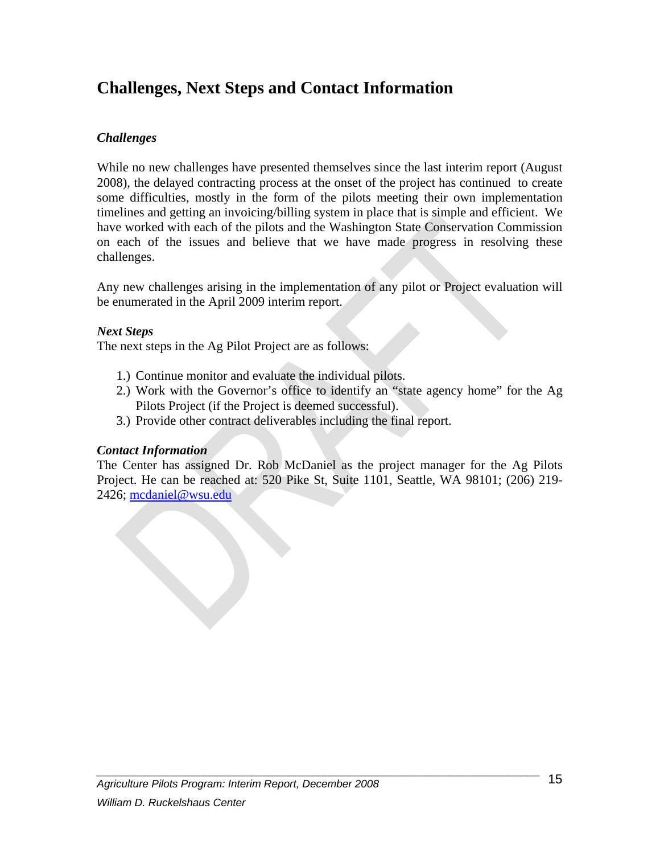## **Challenges, Next Steps and Contact Information**

#### *Challenges*

While no new challenges have presented themselves since the last interim report (August 2008), the delayed contracting process at the onset of the project has continued to create some difficulties, mostly in the form of the pilots meeting their own implementation timelines and getting an invoicing/billing system in place that is simple and efficient. We have worked with each of the pilots and the Washington State Conservation Commission on each of the issues and believe that we have made progress in resolving these challenges.

Any new challenges arising in the implementation of any pilot or Project evaluation will be enumerated in the April 2009 interim report.

#### *Next Steps*

The next steps in the Ag Pilot Project are as follows:

- 1.) Continue monitor and evaluate the individual pilots.
- 2.) Work with the Governor's office to identify an "state agency home" for the Ag Pilots Project (if the Project is deemed successful).
- 3.) Provide other contract deliverables including the final report.

#### *Contact Information*

The Center has assigned Dr. Rob McDaniel as the project manager for the Ag Pilots Project. He can be reached at: 520 Pike St, Suite 1101, Seattle, WA 98101; (206) 219- 2426; mcdaniel@wsu.edu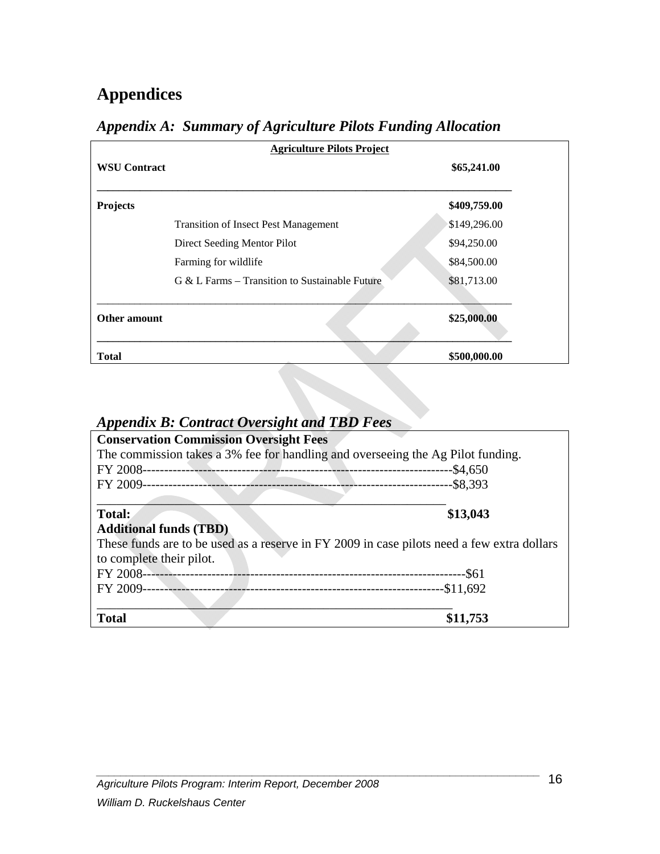# **Appendices**

| <b>Agriculture Pilots Project</b> |                                                   |              |
|-----------------------------------|---------------------------------------------------|--------------|
| <b>WSU Contract</b>               |                                                   | \$65,241.00  |
| <b>Projects</b>                   |                                                   | \$409,759.00 |
|                                   | <b>Transition of Insect Pest Management</b>       | \$149,296.00 |
|                                   | Direct Seeding Mentor Pilot                       | \$94,250.00  |
|                                   | Farming for wildlife                              | \$84,500.00  |
|                                   | $G \& L$ Farms – Transition to Sustainable Future | \$81,713.00  |
| Other amount                      |                                                   | \$25,000.00  |
| <b>Total</b>                      |                                                   | \$500,000.00 |

## *Appendix A: Summary of Agriculture Pilots Funding Allocation*

## *Appendix B: Contract Oversight and TBD Fees*

| <b>Conservation Commission Oversight Fees</b>                                              |             |
|--------------------------------------------------------------------------------------------|-------------|
| The commission takes a 3% fee for handling and overseeing the Ag Pilot funding.            |             |
| FY 2008-                                                                                   | $-$ \$4,650 |
| FY 2009-                                                                                   | $-$ \$8,393 |
|                                                                                            |             |
| Total:                                                                                     | \$13,043    |
| <b>Additional funds (TBD)</b>                                                              |             |
| These funds are to be used as a reserve in FY 2009 in case pilots need a few extra dollars |             |
| to complete their pilot.                                                                   |             |
| FY 2008-                                                                                   | --\$61      |
| FY 2009-                                                                                   | $-$11,692$  |
|                                                                                            |             |
| <b>Total</b>                                                                               |             |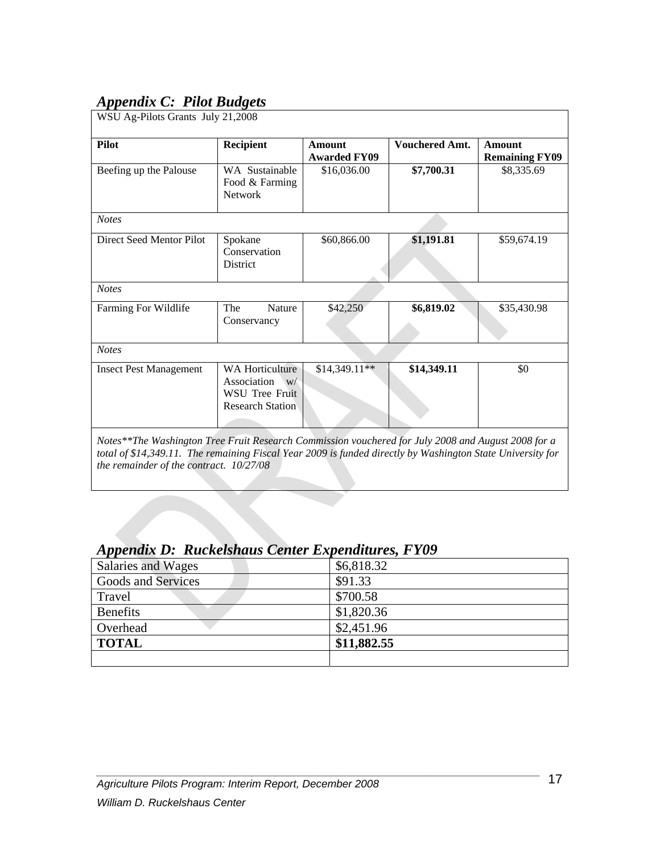## *Appendix C: Pilot Budgets*

| <b>Pilot</b>                  | Recipient                                                                                | <b>Amount</b><br><b>Awarded FY09</b> | <b>Vouchered Amt.</b> | <b>Amount</b><br><b>Remaining FY09</b> |
|-------------------------------|------------------------------------------------------------------------------------------|--------------------------------------|-----------------------|----------------------------------------|
| Beefing up the Palouse        | WA Sustainable<br>Food & Farming<br><b>Network</b>                                       | \$16,036.00                          | \$7,700.31            | \$8,335.69                             |
| <b>Notes</b>                  |                                                                                          |                                      |                       |                                        |
| Direct Seed Mentor Pilot      | Spokane<br>Conservation<br>District                                                      | \$60,866.00                          | \$1,191.81            | \$59,674.19                            |
| <b>Notes</b>                  |                                                                                          |                                      |                       |                                        |
| Farming For Wildlife          | The<br><b>Nature</b><br>Conservancy                                                      | \$42,250                             | \$6,819.02            | \$35,430.98                            |
| <b>Notes</b>                  |                                                                                          |                                      |                       |                                        |
| <b>Insect Pest Management</b> | <b>WA Horticulture</b><br>Association<br>W/<br>WSU Tree Fruit<br><b>Research Station</b> | $$14,349.11**$                       | \$14,349.11           | \$0                                    |

## *Appendix D: Ruckelshaus Center Expenditures, FY09*

| Salaries and Wages | \$6,818.32  |
|--------------------|-------------|
| Goods and Services | \$91.33     |
| Travel             | \$700.58    |
| <b>Benefits</b>    | \$1,820.36  |
| Overhead           | \$2,451.96  |
| <b>TOTAL</b>       | \$11,882.55 |
|                    |             |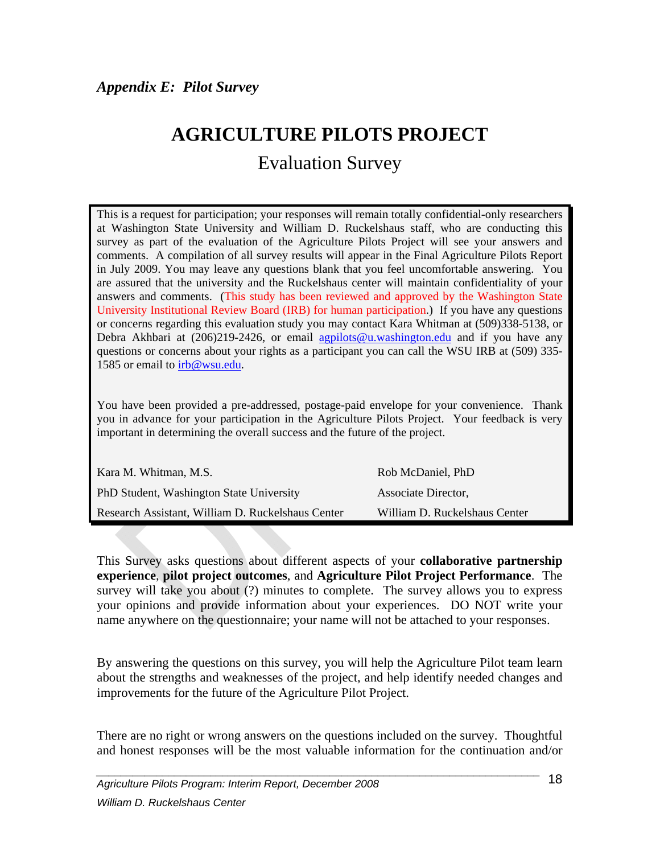# **AGRICULTURE PILOTS PROJECT**

Evaluation Survey

This is a request for participation; your responses will remain totally confidential-only researchers at Washington State University and William D. Ruckelshaus staff, who are conducting this survey as part of the evaluation of the Agriculture Pilots Project will see your answers and comments. A compilation of all survey results will appear in the Final Agriculture Pilots Report in July 2009. You may leave any questions blank that you feel uncomfortable answering. You are assured that the university and the Ruckelshaus center will maintain confidentiality of your answers and comments. (This study has been reviewed and approved by the Washington State University Institutional Review Board (IRB) for human participation.) If you have any questions or concerns regarding this evaluation study you may contact Kara Whitman at (509)338-5138, or Debra Akhbari at (206)219-2426, or email agpilots@u.washington.edu and if you have any questions or concerns about your rights as a participant you can call the WSU IRB at (509) 335- 1585 or email to irb@wsu.edu.

You have been provided a pre-addressed, postage-paid envelope for your convenience. Thank you in advance for your participation in the Agriculture Pilots Project. Your feedback is very important in determining the overall success and the future of the project.

| Kara M. Whitman, M.S.                             | Rob McDaniel, PhD             |
|---------------------------------------------------|-------------------------------|
| PhD Student, Washington State University          | Associate Director.           |
| Research Assistant, William D. Ruckelshaus Center | William D. Ruckelshaus Center |

This Survey asks questions about different aspects of your **collaborative partnership experience**, **pilot project outcomes**, and **Agriculture Pilot Project Performance**. The survey will take you about (?) minutes to complete. The survey allows you to express your opinions and provide information about your experiences. DO NOT write your name anywhere on the questionnaire; your name will not be attached to your responses.

By answering the questions on this survey, you will help the Agriculture Pilot team learn about the strengths and weaknesses of the project, and help identify needed changes and improvements for the future of the Agriculture Pilot Project.

There are no right or wrong answers on the questions included on the survey. Thoughtful and honest responses will be the most valuable information for the continuation and/or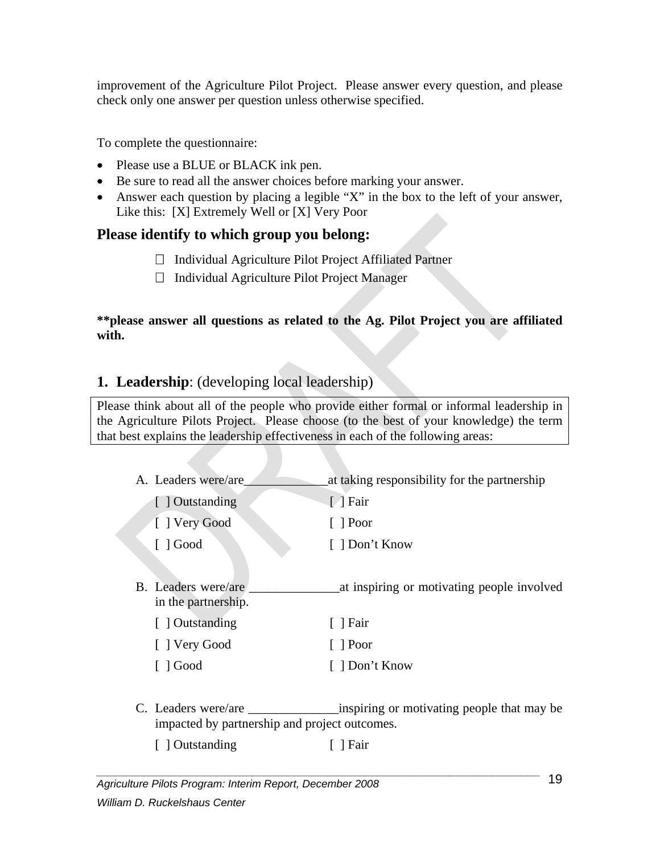improvement of the Agriculture Pilot Project. Please answer every question, and please check only one answer per question unless otherwise specified.

To complete the questionnaire:

- Please use a BLUE or BLACK ink pen.
- Be sure to read all the answer choices before marking your answer.
- Answer each question by placing a legible "X" in the box to the left of your answer, Like this: [X] Extremely Well or [X] Very Poor

## **Please identify to which group you belong:**

- □ Individual Agriculture Pilot Project Affiliated Partner
- $\Box$  Individual Agriculture Pilot Project Manager

**\*\*please answer all questions as related to the Ag. Pilot Project you are affiliated with.** 

## **1. Leadership**: (developing local leadership)

Please think about all of the people who provide either formal or informal leadership in the Agriculture Pilots Project. Please choose (to the best of your knowledge) the term that best explains the leadership effectiveness in each of the following areas:

- A. Leaders were/are\_\_\_\_\_\_\_\_\_\_\_\_\_at taking responsibility for the partnership [ ] Outstanding [ ] Fair [ ] Very Good [ ] Poor [ ] Good [ ] Don't Know B. Leaders were/are \_\_\_\_\_\_\_\_\_\_\_\_\_\_at inspiring or motivating people involved in the partnership. [ ] Outstanding [ ] Fair [ ] Very Good [ ] Poor [ ] Good [ ] Don't Know
- C. Leaders were/are example inspiring or motivating people that may be impacted by partnership and project outcomes.
	- [ ] Outstanding [ ] Fair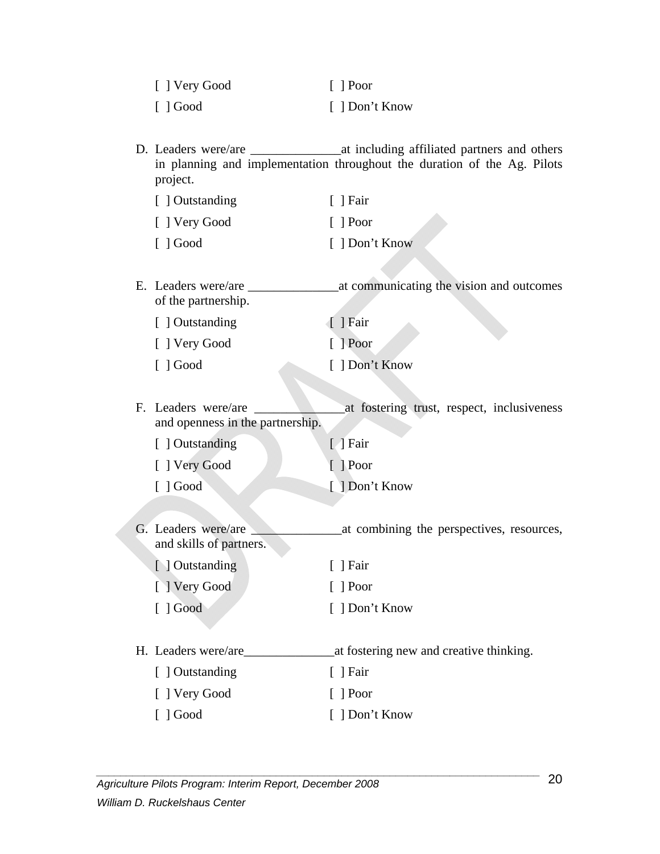| [ ] Very Good           | $\lceil$ Poor  |
|-------------------------|----------------|
| $\lceil$ $\rfloor$ Good | [ ] Don't Know |

D. Leaders were/are  $\alpha$  at including affiliated partners and others in planning and implementation throughout the duration of the Ag. Pilots project.

| [ ] Outstanding         | $\lceil$   Fair |
|-------------------------|-----------------|
| [ ] Very Good           | $\lceil$   Poor |
| $\lceil$ $\rfloor$ Good | [ ] Don't Know  |

E. Leaders were/are \_\_\_\_\_\_\_\_\_\_\_\_\_\_at communicating the vision and outcomes of the partnership.

| [ ] Outstanding         | ↑ Pair                 |
|-------------------------|------------------------|
| [ ] Very Good           | $\lceil \ \rceil$ Poor |
| $\lceil$ $\rfloor$ Good | [ ] Don't Know         |

F. Leaders were/are \_\_\_\_\_\_\_\_\_\_\_\_\_\_at fostering trust, respect, inclusiveness and openness in the partnership.

| [ ] Outstanding | $\lceil \cdot \rceil$ Fair |
|-----------------|----------------------------|
|                 |                            |

- [ ] Very Good [ ] Poor
- [ ] Good [ ] Don't Know
- G. Leaders were/are \_\_\_\_\_\_\_\_\_\_\_\_\_\_at combining the perspectives, resources, and skills of partners.
	- [ ] Outstanding [ ] Fair [ ] Very Good [ ] Poor [ ] Good [ ] Don't Know
- H. Leaders were/are\_\_\_\_\_\_\_\_\_\_\_\_\_\_at fostering new and creative thinking.
	- [ ] Outstanding [ ] Fair [ ] Very Good [ ] Poor [ ] Good [ ] Don't Know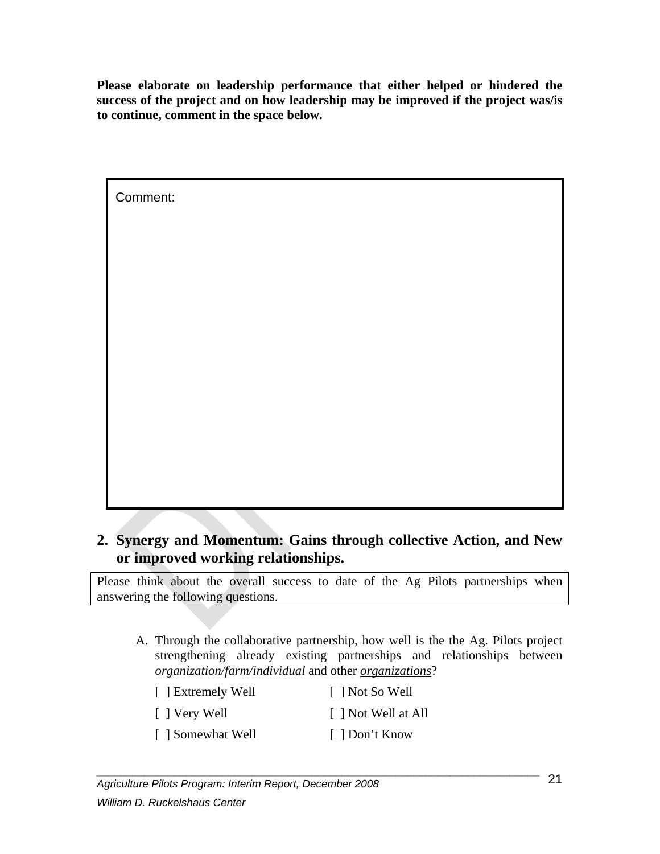**Please elaborate on leadership performance that either helped or hindered the success of the project and on how leadership may be improved if the project was/is to continue, comment in the space below.** 

| Comment: |  |
|----------|--|
|          |  |
|          |  |
|          |  |
|          |  |
|          |  |
|          |  |
|          |  |
|          |  |
|          |  |

## **2. Synergy and Momentum: Gains through collective Action, and New or improved working relationships.**

Please think about the overall success to date of the Ag Pilots partnerships when answering the following questions.

A. Through the collaborative partnership, how well is the the Ag. Pilots project strengthening already existing partnerships and relationships between *organization/farm/individual* and other *organizations*?

| [ ] Extremely Well | [ ] Not So Well     |
|--------------------|---------------------|
| [ ] Very Well      | [ ] Not Well at All |
| [ ] Somewhat Well  | [ ] Don't Know      |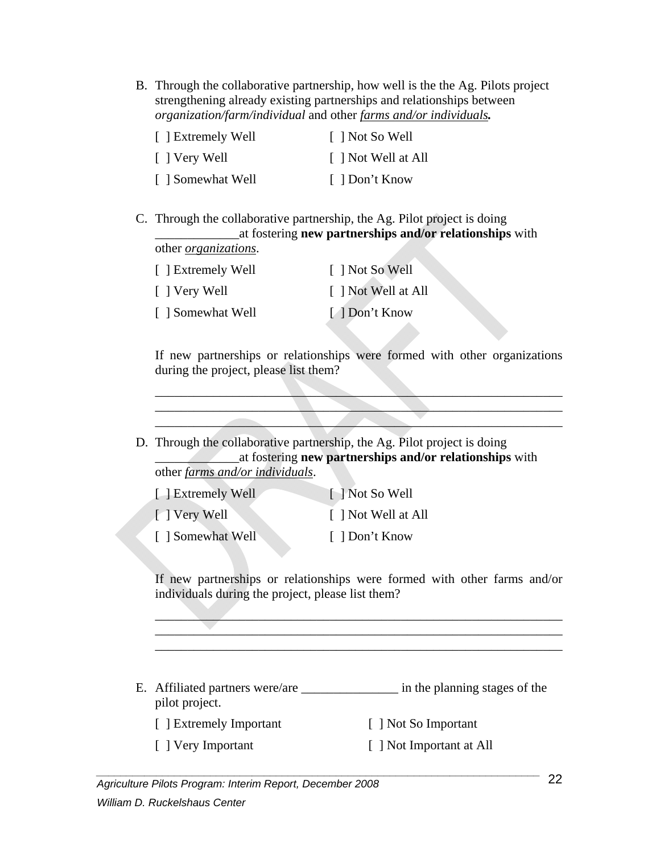B. Through the collaborative partnership, how well is the the Ag. Pilots project strengthening already existing partnerships and relationships between *organization/farm/individual* and other *farms and/or individuals.*

| [ ] Extremely Well | [ ] Not So Well     |
|--------------------|---------------------|
| [ ] Very Well      | [ ] Not Well at All |
| [ ] Somewhat Well  | [ ] Don't Know      |

C. Through the collaborative partnership, the Ag. Pilot project is doing \_\_\_\_\_\_\_\_\_\_\_\_\_at fostering **new partnerships and/or relationships** with other *organizations*.

| [ ] Extremely Well | [ ] Not So Well     |
|--------------------|---------------------|
| [ ] Very Well      | [ ] Not Well at All |
| [ ] Somewhat Well  | [ 1 Don't Know      |

If new partnerships or relationships were formed with other organizations during the project, please list them?

\_\_\_\_\_\_\_\_\_\_\_\_\_\_\_\_\_\_\_\_\_\_\_\_\_\_\_\_\_\_\_\_\_\_\_\_\_\_\_\_\_\_\_\_\_\_\_\_\_\_\_\_\_\_\_\_\_\_\_\_\_\_\_ \_\_\_\_\_\_\_\_\_\_\_\_\_\_\_\_\_\_\_\_\_\_\_\_\_\_\_\_\_\_\_\_\_\_\_\_\_\_\_\_\_\_\_\_\_\_\_\_\_\_\_\_\_\_\_\_\_\_\_\_\_\_\_  $\blacksquare$ 

D. Through the collaborative partnership, the Ag. Pilot project is doing \_\_\_\_\_\_\_\_\_\_\_\_\_at fostering **new partnerships and/or relationships** with other *farms and/or individuals*.

| <b>Extremely Well</b> | I Not So Well       |
|-----------------------|---------------------|
| I Very Well           | [ ] Not Well at All |

[ ] Somewhat Well [ ] Don't Know

If new partnerships or relationships were formed with other farms and/or individuals during the project, please list them?

\_\_\_\_\_\_\_\_\_\_\_\_\_\_\_\_\_\_\_\_\_\_\_\_\_\_\_\_\_\_\_\_\_\_\_\_\_\_\_\_\_\_\_\_\_\_\_\_\_\_\_\_\_\_\_\_\_\_\_\_\_\_\_

- E. Affiliated partners were/are \_\_\_\_\_\_\_\_\_\_\_\_\_\_\_\_\_\_\_\_ in the planning stages of the pilot project.
	- [ ] Extremely Important [ ] Not So Important
	- [ ] Very Important [ ] Not Important at All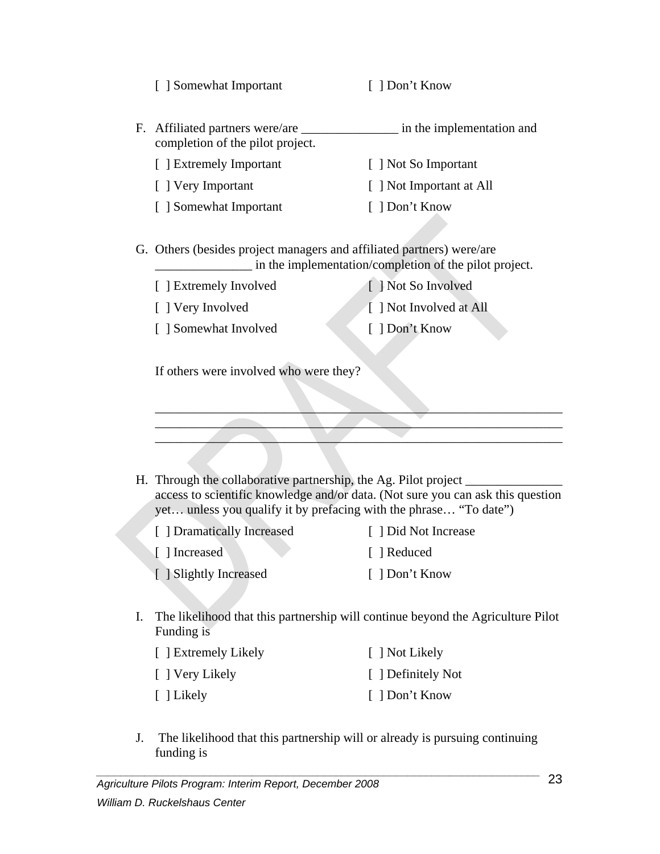|  |  | [ ] Somewhat Important |  |
|--|--|------------------------|--|
|--|--|------------------------|--|

[ ] Don't Know

- F. Affiliated partners were/are \_\_\_\_\_\_\_\_\_\_\_\_\_\_\_ in the implementation and completion of the pilot project.
	- [ ] Extremely Important [ ] Not So Important
	-
	-
- 
- [ ] Very Important [ ] Not Important at All
- [ ] Somewhat Important [ ] Don't Know
- G. Others (besides project managers and affiliated partners) were/are \_\_\_\_\_\_\_\_\_\_\_\_\_\_\_ in the implementation/completion of the pilot project.
	- [ ] Extremely Involved [ ] Not So Involved
	-

[ ] Very Involved [ ] Not Involved at All

- [ ] Somewhat Involved [ ] Don't Know
	-

If others were involved who were they?

H. Through the collaborative partnership, the Ag. Pilot project \_\_\_\_\_\_\_\_\_\_\_\_\_\_\_\_\_ access to scientific knowledge and/or data. (Not sure you can ask this question yet… unless you qualify it by prefacing with the phrase… "To date")

\_\_\_\_\_\_\_\_\_\_\_\_\_\_\_\_\_\_\_\_\_\_\_\_\_\_\_\_\_\_\_\_\_\_\_\_\_\_\_\_\_\_\_\_\_\_\_\_\_\_\_\_\_\_\_\_\_\_\_\_\_\_\_  $\blacksquare$  $\blacksquare$ 

- [ ] Dramatically Increased [ ] Did Not Increase [ ] Increased [ ] Reduced [ ] Slightly Increased [ ] Don't Know
- I. The likelihood that this partnership will continue beyond the Agriculture Pilot Funding is
	- [ ] Extremely Likely [ ] Not Likely [ ] Very Likely [ ] Definitely Not [ ] Likely [ ] Don't Know
- J. The likelihood that this partnership will or already is pursuing continuing funding is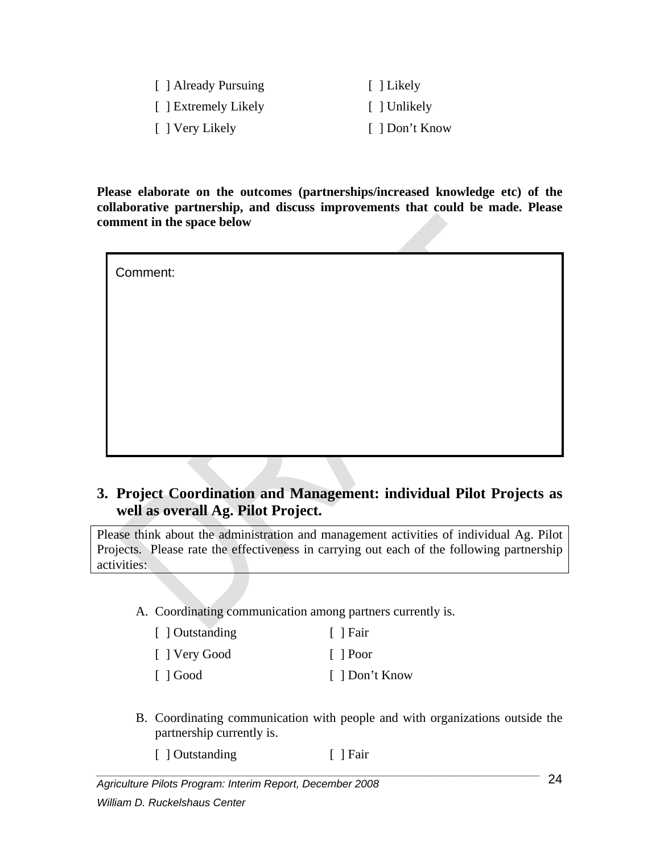| [ ] Already Pursuing | [ ] Likely     |
|----------------------|----------------|
| [ ] Extremely Likely | [ ] Unlikely   |
| [ ] Very Likely      | [ ] Don't Know |

**Please elaborate on the outcomes (partnerships/increased knowledge etc) of the collaborative partnership, and discuss improvements that could be made. Please comment in the space below** 

| Comment: |  |  |  |
|----------|--|--|--|
|          |  |  |  |
|          |  |  |  |
|          |  |  |  |
|          |  |  |  |
|          |  |  |  |

#### **3. Project Coordination and Management: individual Pilot Projects as well as overall Ag. Pilot Project.**

Please think about the administration and management activities of individual Ag. Pilot Projects. Please rate the effectiveness in carrying out each of the following partnership activities:

A. Coordinating communication among partners currently is.

| [ ] Outstanding | [ ] Fair       |
|-----------------|----------------|
| [ ] Very Good   | $\vert$   Poor |

[ ] Good [ ] Don't Know

B. Coordinating communication with people and with organizations outside the partnership currently is.

[ ] Outstanding [ ] Fair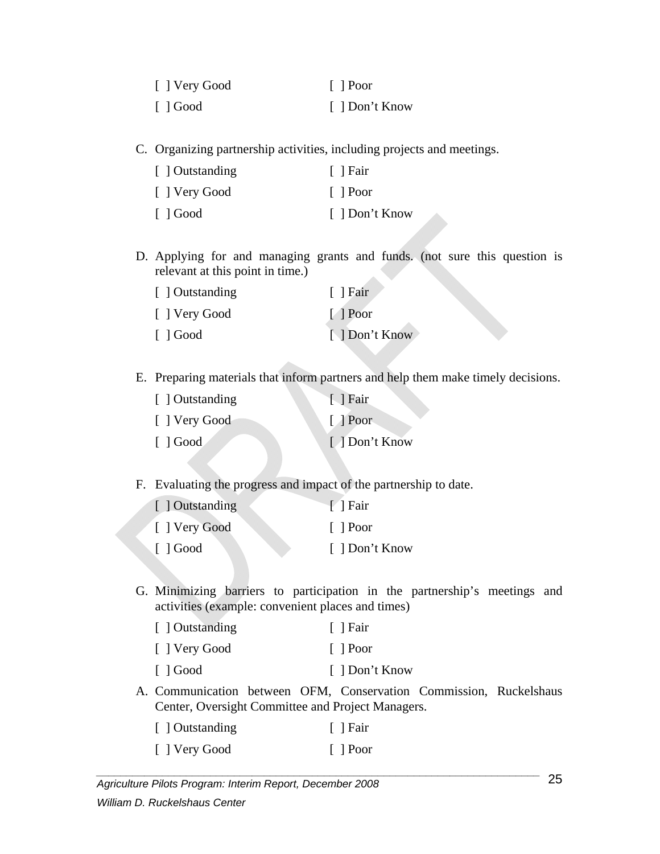| [ ] Very Good           | $\lceil$   Poor |
|-------------------------|-----------------|
| $\lceil$ $\rfloor$ Good | [ ] Don't Know  |

C. Organizing partnership activities, including projects and meetings.

| [ ] Outstanding | Fair           |
|-----------------|----------------|
| [ ] Very Good   | $\vert$   Poor |
| $\Box$ Good     | [ ] Don't Know |

D. Applying for and managing grants and funds. (not sure this question is relevant at this point in time.)

| [ ] Outstanding         | $\lceil$   Fair |  |
|-------------------------|-----------------|--|
| [ ] Very Good           | $[$ Poor        |  |
| $\lceil$ $\rfloor$ Good | [ ] Don't Know  |  |

E. Preparing materials that inform partners and help them make timely decisions.

| [ ] Outstanding         | $\lceil$   Fair       |
|-------------------------|-----------------------|
| [ ] Very Good           | $[$ Poor              |
| $\lceil$ $\rfloor$ Good | [ <i>A</i> Don't Know |

F. Evaluating the progress and impact of the partnership to date.

| [ ] Outstanding         | $\lceil$   Fair |
|-------------------------|-----------------|
| [ ] Very Good           | $\vert$   Poor  |
| $\lceil$ $\rfloor$ Good | [ ] Don't Know  |

G. Minimizing barriers to participation in the partnership's meetings and activities (example: convenient places and times)

| $\lceil$   Fair |
|-----------------|
| $\vert$   Poor  |
| [ ] Don't Know  |
|                 |

A. Communication between OFM, Conservation Commission, Ruckelshaus Center, Oversight Committee and Project Managers.

| [ ] Outstanding | $\lceil$   Fair |
|-----------------|-----------------|
| [ ] Very Good   | $\lceil$   Poor |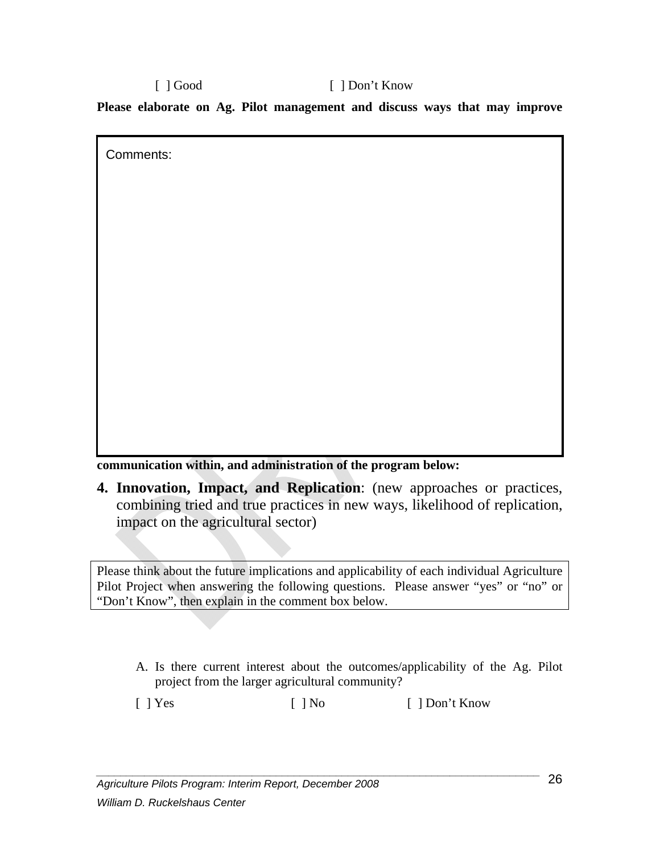[ ] Good [ ] Don't Know **Please elaborate on Ag. Pilot management and discuss ways that may improve** 

**communication within, and administration of the program below:** 

Comments:

**4. Innovation, Impact, and Replication**: (new approaches or practices, combining tried and true practices in new ways, likelihood of replication, impact on the agricultural sector)

Please think about the future implications and applicability of each individual Agriculture Pilot Project when answering the following questions. Please answer "yes" or "no" or "Don't Know", then explain in the comment box below.

A. Is there current interest about the outcomes/applicability of the Ag. Pilot project from the larger agricultural community?

[ ] Yes [ ] No [ ] Don't Know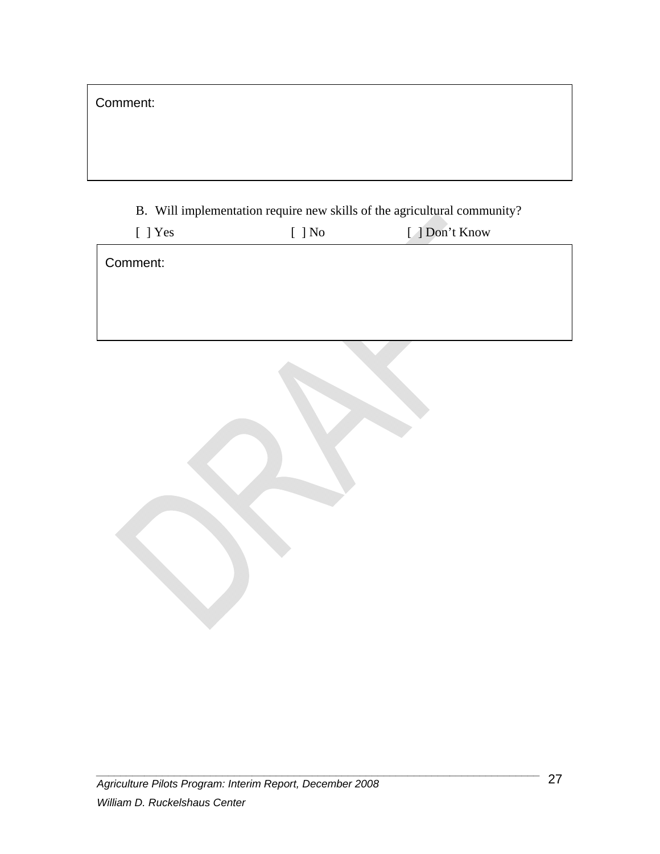B. Will implementation require new skills of the agricultural community?

| $[$ ] Yes | $[$ ] No | [ ] Don't Know |  |
|-----------|----------|----------------|--|
| Comment:  |          |                |  |
|           |          |                |  |
|           |          |                |  |
|           |          |                |  |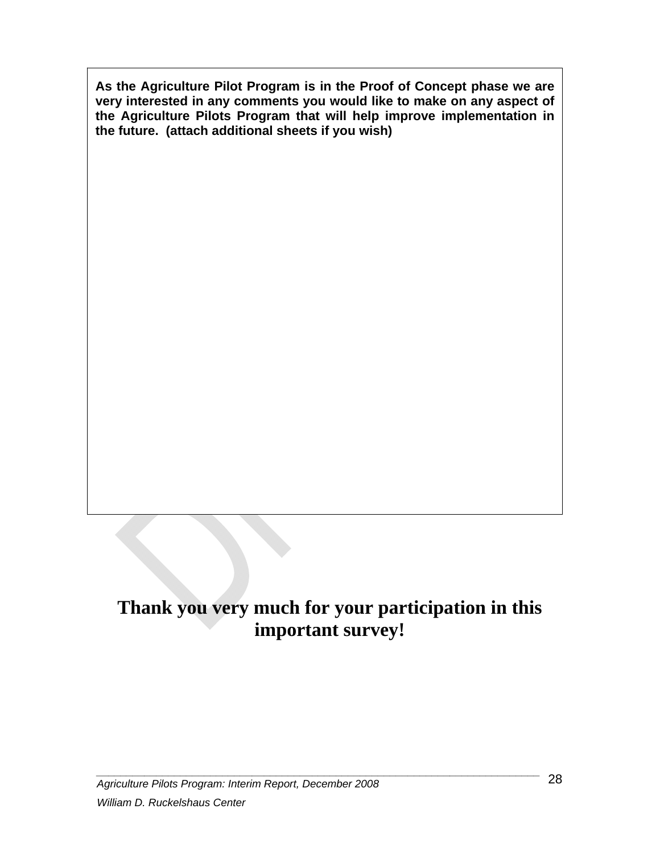**As the Agriculture Pilot Program is in the Proof of Concept phase we are very interested in any comments you would like to make on any aspect of the Agriculture Pilots Program that will help improve implementation in the future. (attach additional sheets if you wish)** 

# **Thank you very much for your participation in this important survey!**